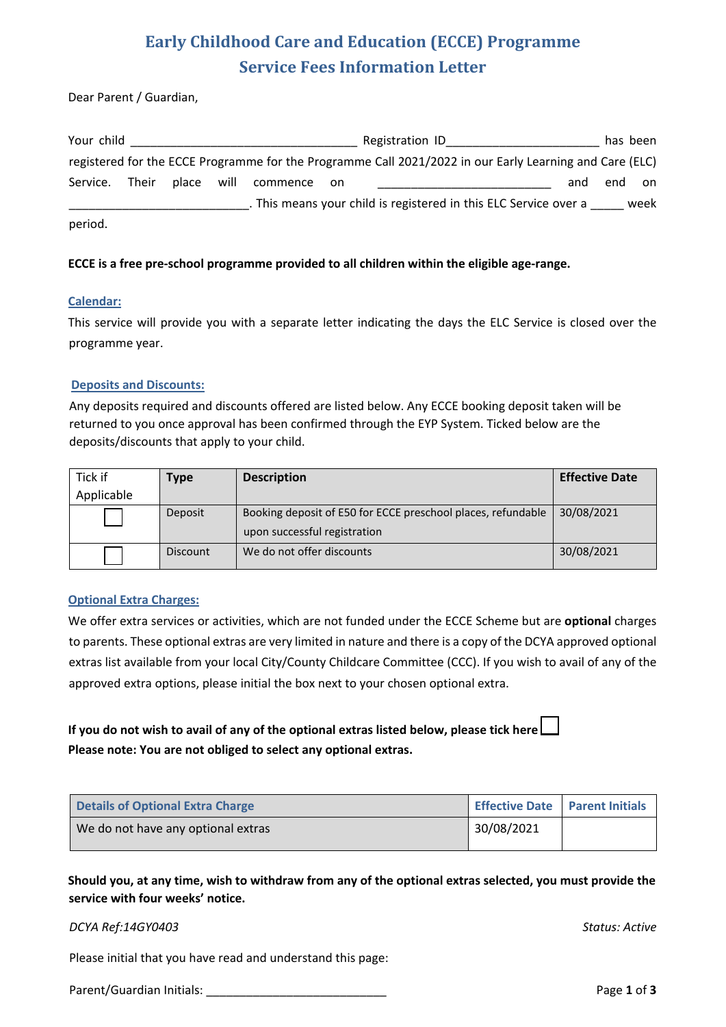## **Early Childhood Care and Education (ECCE) Programme Service Fees Information Letter**

Dear Parent / Guardian,

| Your child     |            |             | Registration ID                                                                                         |     |     | has been |
|----------------|------------|-------------|---------------------------------------------------------------------------------------------------------|-----|-----|----------|
|                |            |             | registered for the ECCE Programme for the Programme Call 2021/2022 in our Early Learning and Care (ELC) |     |     |          |
| Service. Their | place will | commence on |                                                                                                         | and | end | on       |
|                |            |             | . This means your child is registered in this ELC Service over a                                        |     |     | week     |
| period.        |            |             |                                                                                                         |     |     |          |

#### **ECCE is a free pre-school programme provided to all children within the eligible age-range.**

#### **Calendar:**

This service will provide you with a separate letter indicating the days the ELC Service is closed over the programme year.

#### **Deposits and Discounts:**

Any deposits required and discounts offered are listed below. Any ECCE booking deposit taken will be returned to you once approval has been confirmed through the EYP System. Ticked below are the deposits/discounts that apply to your child.

| Tick if    | Type            | <b>Description</b>                                           | <b>Effective Date</b> |
|------------|-----------------|--------------------------------------------------------------|-----------------------|
| Applicable |                 |                                                              |                       |
|            | Deposit         | Booking deposit of E50 for ECCE preschool places, refundable | 30/08/2021            |
|            |                 | upon successful registration                                 |                       |
|            | <b>Discount</b> | We do not offer discounts                                    | 30/08/2021            |

#### **Optional Extra Charges:**

We offer extra services or activities, which are not funded under the ECCE Scheme but are **optional** charges to parents. These optional extras are very limited in nature and there is a copy of the DCYA approved optional extras list available from your local City/County Childcare Committee (CCC). If you wish to avail of any of the approved extra options, please initial the box next to your chosen optional extra.

### **If you do not wish to avail of any of the optional extras listed below, please tick here Please note: You are not obliged to select any optional extras.**

| <b>Details of Optional Extra Charge</b> | Effective Date   Parent Initials |  |
|-----------------------------------------|----------------------------------|--|
| We do not have any optional extras      | 30/08/2021                       |  |

**Should you, at any time, wish to withdraw from any of the optional extras selected, you must provide the service with four weeks' notice.**

#### *DCYA Ref:14GY0403 Status: Active*

Please initial that you have read and understand this page:

Parent/Guardian Initials: \_\_\_\_\_\_\_\_\_\_\_\_\_\_\_\_\_\_\_\_\_\_\_\_\_\_\_ Page **1** of **3**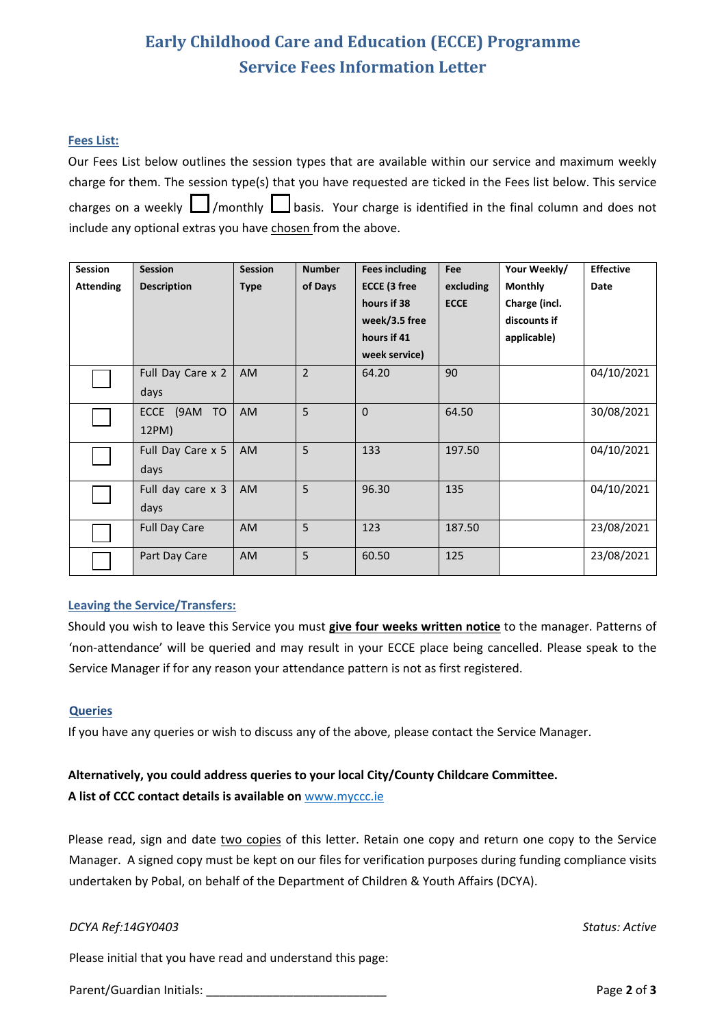## **Early Childhood Care and Education (ECCE) Programme Service Fees Information Letter**

#### **Fees List:**

Our Fees List below outlines the session types that are available within our service and maximum weekly charge for them. The session type(s) that you have requested are ticked in the Fees list below. This service charges on a weekly  $\Box$ /monthly  $\Box$ basis. Your charge is identified in the final column and does not include any optional extras you have chosen from the above.

| <b>Session</b>   | <b>Session</b>       | <b>Session</b> | <b>Number</b>  | <b>Fees including</b> | Fee         | Your Weekly/   | <b>Effective</b> |
|------------------|----------------------|----------------|----------------|-----------------------|-------------|----------------|------------------|
| <b>Attending</b> | <b>Description</b>   | <b>Type</b>    | of Days        | <b>ECCE (3 free</b>   | excluding   | <b>Monthly</b> | Date             |
|                  |                      |                |                | hours if 38           | <b>ECCE</b> | Charge (incl.  |                  |
|                  |                      |                |                | week/3.5 free         |             | discounts if   |                  |
|                  |                      |                |                | hours if 41           |             | applicable)    |                  |
|                  |                      |                |                | week service)         |             |                |                  |
|                  | Full Day Care x 2    | <b>AM</b>      | $\overline{2}$ | 64.20                 | 90          |                | 04/10/2021       |
|                  | days                 |                |                |                       |             |                |                  |
|                  | ECCE<br>(9AM TO      | <b>AM</b>      | 5              | $\mathbf{0}$          | 64.50       |                | 30/08/2021       |
|                  | 12PM)                |                |                |                       |             |                |                  |
|                  | Full Day Care x 5    | <b>AM</b>      | 5              | 133                   | 197.50      |                | 04/10/2021       |
|                  | days                 |                |                |                       |             |                |                  |
|                  | Full day care x 3    | <b>AM</b>      | 5              | 96.30                 | 135         |                | 04/10/2021       |
|                  | days                 |                |                |                       |             |                |                  |
|                  | <b>Full Day Care</b> | AM             | 5              | 123                   | 187.50      |                | 23/08/2021       |
|                  |                      |                |                |                       |             |                |                  |
|                  | Part Day Care        | <b>AM</b>      | 5              | 60.50                 | 125         |                | 23/08/2021       |

#### **Leaving the Service/Transfers:**

Should you wish to leave this Service you must **give four weeks written notice** to the manager. Patterns of 'non-attendance' will be queried and may result in your ECCE place being cancelled. Please speak to the Service Manager if for any reason your attendance pattern is not as first registered.

#### **Queries**

If you have any queries or wish to discuss any of the above, please contact the Service Manager.

### **Alternatively, you could address queries to your local City/County Childcare Committee. A list of CCC contact details is available on** www.myccc.ie

Please read, sign and date two copies of this letter. Retain one copy and return one copy to the Service Manager. A signed copy must be kept on our files for verification purposes during funding compliance visits undertaken by Pobal, on behalf of the Department of Children & Youth Affairs (DCYA).

#### *DCYA Ref:14GY0403 Status: Active*

Please initial that you have read and understand this page:

Parent/Guardian Initials: **Parent/Guardian Initials: Page 2** of **3**